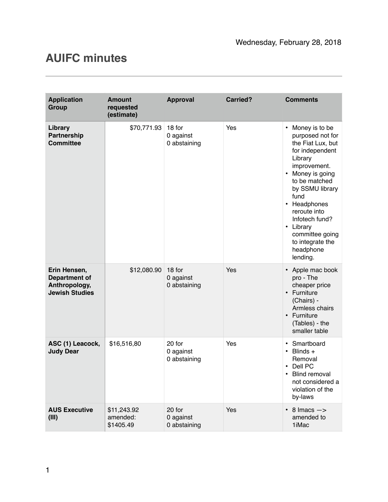## **AUIFC minutes**

| <b>Application</b><br><b>Group</b>                                             | <b>Amount</b><br>requested<br>(estimate) | <b>Approval</b>                     | <b>Carried?</b> | <b>Comments</b>                                                                                                                                                                                                                                                                                                                                    |
|--------------------------------------------------------------------------------|------------------------------------------|-------------------------------------|-----------------|----------------------------------------------------------------------------------------------------------------------------------------------------------------------------------------------------------------------------------------------------------------------------------------------------------------------------------------------------|
| Library<br>Partnership<br><b>Committee</b>                                     | \$70,771.93                              | 18 for<br>0 against<br>0 abstaining | Yes             | Money is to be<br>$\bullet$<br>purposed not for<br>the Fiat Lux, but<br>for independent<br>Library<br>improvement.<br>Money is going<br>$\bullet$<br>to be matched<br>by SSMU library<br>fund<br>Headphones<br>$\bullet$<br>reroute into<br>Infotech fund?<br>Library<br>$\bullet$<br>committee going<br>to integrate the<br>headphone<br>lending. |
| Erin Hensen,<br><b>Department of</b><br>Anthropology,<br><b>Jewish Studies</b> | \$12,080.90                              | 18 for<br>0 against<br>0 abstaining | Yes             | Apple mac book<br>pro - The<br>cheaper price<br>• Furniture<br>(Chairs) -<br>Armless chairs<br>• Furniture<br>(Tables) - the<br>smaller table                                                                                                                                                                                                      |
| ASC (1) Leacock,<br><b>Judy Dear</b>                                           | \$16,516,80                              | 20 for<br>0 against<br>0 abstaining | Yes             | Smartboard<br>$\bullet$<br>Blinds $+$<br>$\bullet$<br>Removal<br>Dell PC<br><b>Blind removal</b><br>$\bullet$<br>not considered a<br>violation of the<br>by-laws                                                                                                                                                                                   |
| <b>AUS Executive</b><br>(III)                                                  | \$11,243.92<br>amended:<br>\$1405.49     | 20 for<br>0 against<br>0 abstaining | Yes             | $8 \text{ lmacs}$ $\rightarrow$<br>$\bullet$<br>amended to<br>1iMac                                                                                                                                                                                                                                                                                |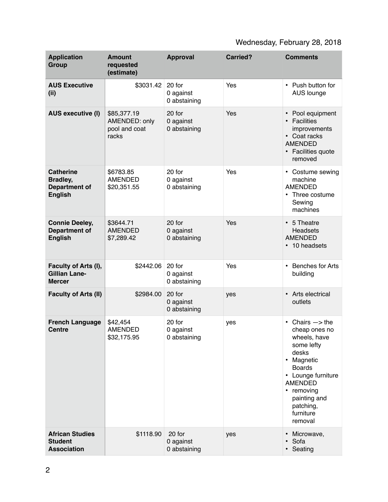## Wednesday, February 28, 2018

| <b>Application</b><br><b>Group</b>                                     | <b>Amount</b><br>requested<br>(estimate)               | <b>Approval</b>                     | <b>Carried?</b> | <b>Comments</b>                                                                                                                                                                                                                               |
|------------------------------------------------------------------------|--------------------------------------------------------|-------------------------------------|-----------------|-----------------------------------------------------------------------------------------------------------------------------------------------------------------------------------------------------------------------------------------------|
| <b>AUS Executive</b><br>(i)                                            | \$3031.42                                              | 20 for<br>0 against<br>0 abstaining | Yes             | Push button for<br>$\bullet$<br>AUS lounge                                                                                                                                                                                                    |
| <b>AUS executive (I)</b>                                               | \$85,377.19<br>AMENDED: only<br>pool and coat<br>racks | 20 for<br>0 against<br>0 abstaining | Yes             | Pool equipment<br>$\bullet$<br>• Facilities<br>improvements<br>• Coat racks<br><b>AMENDED</b><br>Facilities quote<br>removed                                                                                                                  |
| <b>Catherine</b><br><b>Bradley,</b><br>Department of<br><b>English</b> | \$6783.85<br><b>AMENDED</b><br>\$20,351.55             | 20 for<br>0 against<br>0 abstaining | Yes             | • Costume sewing<br>machine<br><b>AMENDED</b><br>Three costume<br>$\bullet$<br>Sewing<br>machines                                                                                                                                             |
| <b>Connie Deeley,</b><br><b>Department of</b><br><b>English</b>        | \$3644.71<br><b>AMENDED</b><br>\$7,289.42              | 20 for<br>0 against<br>0 abstaining | Yes             | 5 Theatre<br>$\bullet$<br><b>Headsets</b><br><b>AMENDED</b><br>10 headsets<br>$\bullet$                                                                                                                                                       |
| Faculty of Arts (I),<br><b>Gillian Lane-</b><br><b>Mercer</b>          | \$2442.06                                              | 20 for<br>0 against<br>0 abstaining | Yes             | <b>Benches for Arts</b><br>$\bullet$<br>building                                                                                                                                                                                              |
| Faculty of Arts (II)                                                   | \$2984.00                                              | 20 for<br>0 against<br>0 abstaining | yes             | Arts electrical<br>$\bullet$<br>outlets                                                                                                                                                                                                       |
| <b>French Language</b><br><b>Centre</b>                                | \$42,454<br><b>AMENDED</b><br>\$32,175.95              | 20 for<br>0 against<br>0 abstaining | yes             | Chairs $\Rightarrow$ the<br>$\bullet$<br>cheap ones no<br>wheels, have<br>some lefty<br>desks<br>Magnetic<br>٠<br><b>Boards</b><br>• Lounge furniture<br><b>AMENDED</b><br>removing<br>٠<br>painting and<br>patching,<br>furniture<br>removal |
| <b>African Studies</b><br><b>Student</b><br><b>Association</b>         | \$1118.90                                              | 20 for<br>0 against<br>0 abstaining | yes             | Microwave,<br>$\bullet$<br>Sofa<br>$\bullet$<br>• Seating                                                                                                                                                                                     |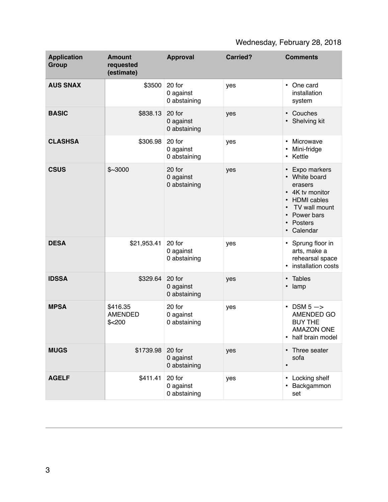## Wednesday, February 28, 2018

| <b>Application</b><br><b>Group</b> | <b>Amount</b><br>requested<br>(estimate) | <b>Approval</b>                     | <b>Carried?</b> | <b>Comments</b>                                                                                                                                      |
|------------------------------------|------------------------------------------|-------------------------------------|-----------------|------------------------------------------------------------------------------------------------------------------------------------------------------|
| <b>AUS SNAX</b>                    | \$3500                                   | 20 for<br>0 against<br>0 abstaining | yes             | One card<br>$\bullet$<br>installation<br>system                                                                                                      |
| <b>BASIC</b>                       | \$838.13                                 | 20 for<br>0 against<br>0 abstaining | yes             | Couches<br>$\bullet$<br>• Shelving kit                                                                                                               |
| <b>CLASHSA</b>                     | \$306.98                                 | 20 for<br>0 against<br>0 abstaining | yes             | Microwave<br>Mini-fridge<br>Kettle<br>$\bullet$                                                                                                      |
| <b>CSUS</b>                        | \$~3000                                  | 20 for<br>0 against<br>0 abstaining | yes             | Expo markers<br>• White board<br>erasers<br>• 4K tv monitor<br><b>HDMI</b> cables<br>$\bullet$<br>TV wall mount<br>Power bars<br>Posters<br>Calendar |
| <b>DESA</b>                        | \$21,953.41                              | 20 for<br>0 against<br>0 abstaining | yes             | • Sprung floor in<br>arts, make a<br>rehearsal space<br>• installation costs                                                                         |
| <b>IDSSA</b>                       | \$329.64                                 | 20 for<br>0 against<br>0 abstaining | yes             | Tables<br>$\bullet$<br>lamp<br>$\bullet$                                                                                                             |
| <b>MPSA</b>                        | \$416.35<br><b>AMENDED</b><br>$$<$ 200   | 20 for<br>0 against<br>0 abstaining | yes             | $DSM 5 - >$<br>$\bullet$<br>AMENDED GO<br><b>BUY THE</b><br><b>AMAZON ONE</b><br>half brain model<br>$\bullet$                                       |
| <b>MUGS</b>                        | \$1739.98                                | 20 for<br>0 against<br>0 abstaining | yes             | • Three seater<br>sofa<br>$\bullet$                                                                                                                  |
| <b>AGELF</b>                       | \$411.41                                 | 20 for<br>0 against<br>0 abstaining | yes             | Locking shelf<br>Backgammon<br>set                                                                                                                   |